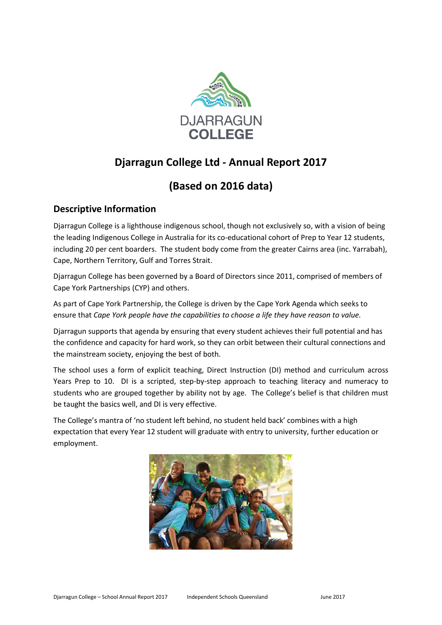

# **Djarragun College Ltd - Annual Report 2017**

# **(Based on 2016 data)**

# **Descriptive Information**

Djarragun College is a lighthouse indigenous school, though not exclusively so, with a vision of being the leading Indigenous College in Australia for its co-educational cohort of Prep to Year 12 students, including 20 per cent boarders. The student body come from the greater Cairns area (inc. Yarrabah), Cape, Northern Territory, Gulf and Torres Strait.

Djarragun College has been governed by a Board of Directors since 2011, comprised of members of Cape York Partnerships (CYP) and others.

As part of Cape York Partnership, the College is driven by the Cape York Agenda which seeks to ensure that *Cape York people have the capabilities to choose a life they have reason to value.*

Djarragun supports that agenda by ensuring that every student achieves their full potential and has the confidence and capacity for hard work, so they can orbit between their cultural connections and the mainstream society, enjoying the best of both.

The school uses a form of explicit teaching, Direct Instruction (DI) method and curriculum across Years Prep to 10. DI is a scripted, step-by-step approach to teaching literacy and numeracy to students who are grouped together by ability not by age. The College's belief is that children must be taught the basics well, and DI is very effective.

The College's mantra of 'no student left behind, no student held back' combines with a high expectation that every Year 12 student will graduate with entry to university, further education or employment.

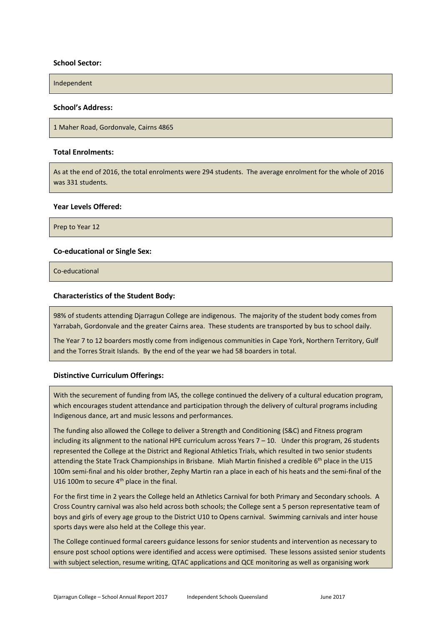#### **School Sector:**

Independent

#### **School's Address:**

1 Maher Road, Gordonvale, Cairns 4865

#### **Total Enrolments:**

As at the end of 2016, the total enrolments were 294 students. The average enrolment for the whole of 2016 was 331 students.

#### **Year Levels Offered:**

Prep to Year 12

#### **Co-educational or Single Sex:**

Co-educational

#### **Characteristics of the Student Body:**

98% of students attending Djarragun College are indigenous. The majority of the student body comes from Yarrabah, Gordonvale and the greater Cairns area. These students are transported by bus to school daily.

The Year 7 to 12 boarders mostly come from indigenous communities in Cape York, Northern Territory, Gulf and the Torres Strait Islands. By the end of the year we had 58 boarders in total.

#### **Distinctive Curriculum Offerings:**

With the securement of funding from IAS, the college continued the delivery of a cultural education program, which encourages student attendance and participation through the delivery of cultural programs including Indigenous dance, art and music lessons and performances.

The funding also allowed the College to deliver a Strength and Conditioning (S&C) and Fitness program including its alignment to the national HPE curriculum across Years  $7 - 10$ . Under this program, 26 students represented the College at the District and Regional Athletics Trials, which resulted in two senior students attending the State Track Championships in Brisbane. Miah Martin finished a credible 6th place in the U15 100m semi-final and his older brother, Zephy Martin ran a place in each of his heats and the semi-final of the U16 100 $m$  to secure 4<sup>th</sup> place in the final.

For the first time in 2 years the College held an Athletics Carnival for both Primary and Secondary schools. A Cross Country carnival was also held across both schools; the College sent a 5 person representative team of boys and girls of every age group to the District U10 to Opens carnival. Swimming carnivals and inter house sports days were also held at the College this year.

The College continued formal careers guidance lessons for senior students and intervention as necessary to ensure post school options were identified and access were optimised. These lessons assisted senior students with subject selection, resume writing, QTAC applications and QCE monitoring as well as organising work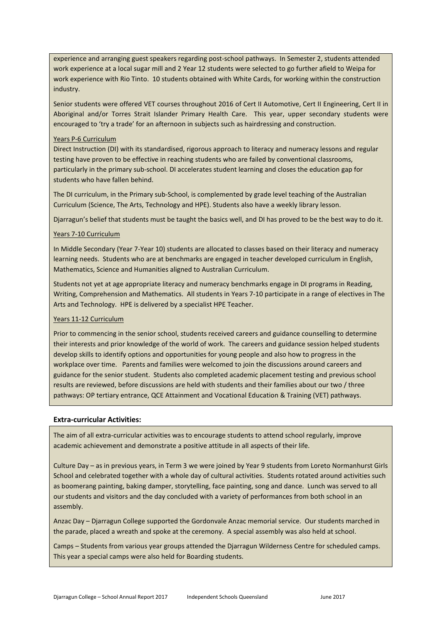experience and arranging guest speakers regarding post-school pathways. In Semester 2, students attended work experience at a local sugar mill and 2 Year 12 students were selected to go further afield to Weipa for work experience with Rio Tinto. 10 students obtained with White Cards, for working within the construction industry.

Senior students were offered VET courses throughout 2016 of Cert II Automotive, Cert II Engineering, Cert II in Aboriginal and/or Torres Strait Islander Primary Health Care. This year, upper secondary students were encouraged to 'try a trade' for an afternoon in subjects such as hairdressing and construction.

#### Years P-6 Curriculum

Direct Instruction (DI) with its standardised, rigorous approach to literacy and numeracy lessons and regular testing have proven to be effective in reaching students who are failed by conventional classrooms, particularly in the primary sub-school. DI accelerates student learning and closes the education gap for students who have fallen behind.

The DI curriculum, in the Primary sub-School, is complemented by grade level teaching of the Australian Curriculum (Science, The Arts, Technology and HPE). Students also have a weekly library lesson.

Djarragun's belief that students must be taught the basics well, and DI has proved to be the best way to do it.

#### Years 7-10 Curriculum

In Middle Secondary (Year 7-Year 10) students are allocated to classes based on their literacy and numeracy learning needs. Students who are at benchmarks are engaged in teacher developed curriculum in English, Mathematics, Science and Humanities aligned to Australian Curriculum.

Students not yet at age appropriate literacy and numeracy benchmarks engage in DI programs in Reading, Writing, Comprehension and Mathematics. All students in Years 7-10 participate in a range of electives in The Arts and Technology. HPE is delivered by a specialist HPE Teacher.

### Years 11-12 Curriculum

Prior to commencing in the senior school, students received careers and guidance counselling to determine their interests and prior knowledge of the world of work. The careers and guidance session helped students develop skills to identify options and opportunities for young people and also how to progress in the workplace over time. Parents and families were welcomed to join the discussions around careers and guidance for the senior student. Students also completed academic placement testing and previous school results are reviewed, before discussions are held with students and their families about our two / three pathways: OP tertiary entrance, QCE Attainment and Vocational Education & Training (VET) pathways.

### **Extra-curricular Activities:**

The aim of all extra-curricular activities was to encourage students to attend school regularly, improve academic achievement and demonstrate a positive attitude in all aspects of their life.

Culture Day – as in previous years, in Term 3 we were joined by Year 9 students from Loreto Normanhurst Girls School and celebrated together with a whole day of cultural activities. Students rotated around activities such as boomerang painting, baking damper, storytelling, face painting, song and dance. Lunch was served to all our students and visitors and the day concluded with a variety of performances from both school in an assembly.

Anzac Day – Djarragun College supported the Gordonvale Anzac memorial service. Our students marched in the parade, placed a wreath and spoke at the ceremony. A special assembly was also held at school.

Camps – Students from various year groups attended the Djarragun Wilderness Centre for scheduled camps. This year a special camps were also held for Boarding students.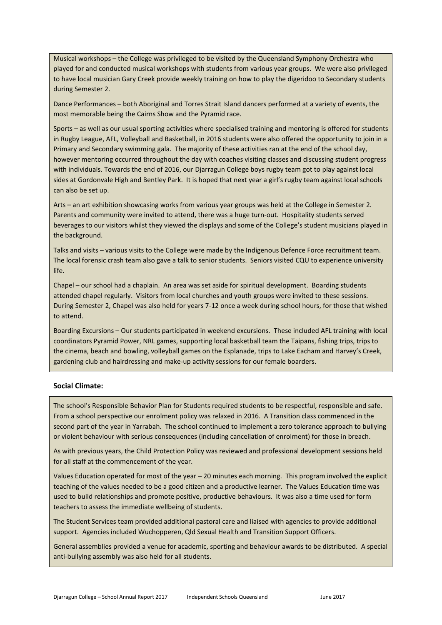Musical workshops – the College was privileged to be visited by the Queensland Symphony Orchestra who played for and conducted musical workshops with students from various year groups. We were also privileged to have local musician Gary Creek provide weekly training on how to play the digeridoo to Secondary students during Semester 2.

Dance Performances – both Aboriginal and Torres Strait Island dancers performed at a variety of events, the most memorable being the Cairns Show and the Pyramid race.

Sports – as well as our usual sporting activities where specialised training and mentoring is offered for students in Rugby League, AFL, Volleyball and Basketball, in 2016 students were also offered the opportunity to join in a Primary and Secondary swimming gala. The majority of these activities ran at the end of the school day, however mentoring occurred throughout the day with coaches visiting classes and discussing student progress with individuals. Towards the end of 2016, our Djarragun College boys rugby team got to play against local sides at Gordonvale High and Bentley Park. It is hoped that next year a girl's rugby team against local schools can also be set up.

Arts – an art exhibition showcasing works from various year groups was held at the College in Semester 2. Parents and community were invited to attend, there was a huge turn-out. Hospitality students served beverages to our visitors whilst they viewed the displays and some of the College's student musicians played in the background.

Talks and visits – various visits to the College were made by the Indigenous Defence Force recruitment team. The local forensic crash team also gave a talk to senior students. Seniors visited CQU to experience university life.

Chapel – our school had a chaplain. An area was set aside for spiritual development. Boarding students attended chapel regularly. Visitors from local churches and youth groups were invited to these sessions. During Semester 2, Chapel was also held for years 7-12 once a week during school hours, for those that wished to attend.

Boarding Excursions – Our students participated in weekend excursions. These included AFL training with local coordinators Pyramid Power, NRL games, supporting local basketball team the Taipans, fishing trips, trips to the cinema, beach and bowling, volleyball games on the Esplanade, trips to Lake Eacham and Harvey's Creek, gardening club and hairdressing and make-up activity sessions for our female boarders.

### **Social Climate:**

The school's Responsible Behavior Plan for Students required students to be respectful, responsible and safe. From a school perspective our enrolment policy was relaxed in 2016. A Transition class commenced in the second part of the year in Yarrabah. The school continued to implement a zero tolerance approach to bullying or violent behaviour with serious consequences (including cancellation of enrolment) for those in breach.

As with previous years, the Child Protection Policy was reviewed and professional development sessions held for all staff at the commencement of the year.

Values Education operated for most of the year – 20 minutes each morning. This program involved the explicit teaching of the values needed to be a good citizen and a productive learner. The Values Education time was used to build relationships and promote positive, productive behaviours. It was also a time used for form teachers to assess the immediate wellbeing of students.

The Student Services team provided additional pastoral care and liaised with agencies to provide additional support. Agencies included Wuchopperen, Qld Sexual Health and Transition Support Officers.

General assemblies provided a venue for academic, sporting and behaviour awards to be distributed. A special anti-bullying assembly was also held for all students.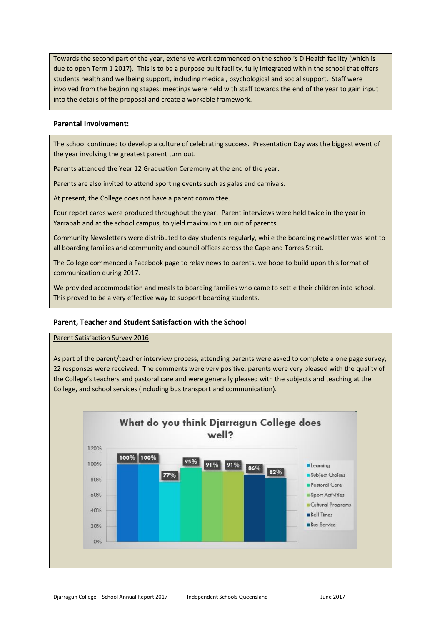Towards the second part of the year, extensive work commenced on the school's D Health facility (which is due to open Term 1 2017). This is to be a purpose built facility, fully integrated within the school that offers students health and wellbeing support, including medical, psychological and social support. Staff were involved from the beginning stages; meetings were held with staff towards the end of the year to gain input into the details of the proposal and create a workable framework.

#### **Parental Involvement:**

The school continued to develop a culture of celebrating success. Presentation Day was the biggest event of the year involving the greatest parent turn out.

Parents attended the Year 12 Graduation Ceremony at the end of the year.

Parents are also invited to attend sporting events such as galas and carnivals.

At present, the College does not have a parent committee.

Four report cards were produced throughout the year. Parent interviews were held twice in the year in Yarrabah and at the school campus, to yield maximum turn out of parents.

Community Newsletters were distributed to day students regularly, while the boarding newsletter was sent to all boarding families and community and council offices across the Cape and Torres Strait.

The College commenced a Facebook page to relay news to parents, we hope to build upon this format of communication during 2017.

We provided accommodation and meals to boarding families who came to settle their children into school. This proved to be a very effective way to support boarding students.

#### **Parent, Teacher and Student Satisfaction with the School**

Parent Satisfaction Survey 2016

As part of the parent/teacher interview process, attending parents were asked to complete a one page survey; 22 responses were received. The comments were very positive; parents were very pleased with the quality of the College's teachers and pastoral care and were generally pleased with the subjects and teaching at the College, and school services (including bus transport and communication).

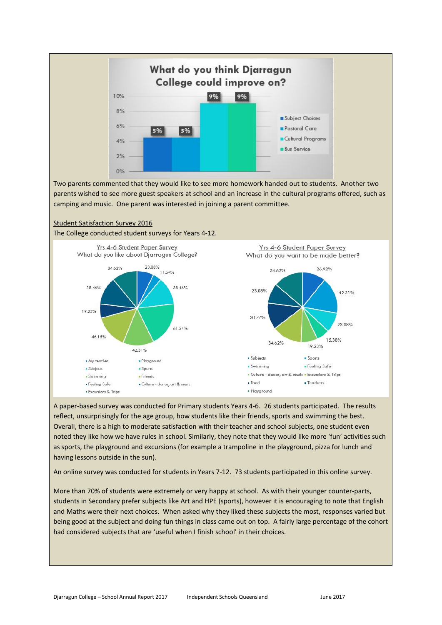

A paper-based survey was conducted for Primary students Years 4-6. 26 students participated. The results reflect, unsurprisingly for the age group, how students like their friends, sports and swimming the best. Overall, there is a high to moderate satisfaction with their teacher and school subjects, one student even noted they like how we have rules in school. Similarly, they note that they would like more 'fun' activities such as sports, the playground and excursions (for example a trampoline in the playground, pizza for lunch and having lessons outside in the sun).

An online survey was conducted for students in Years 7-12. 73 students participated in this online survey.

More than 70% of students were extremely or very happy at school. As with their younger counter-parts, students in Secondary prefer subjects like Art and HPE (sports), however it is encouraging to note that English and Maths were their next choices. When asked why they liked these subjects the most, responses varied but being good at the subject and doing fun things in class came out on top. A fairly large percentage of the cohort had considered subjects that are 'useful when I finish school' in their choices.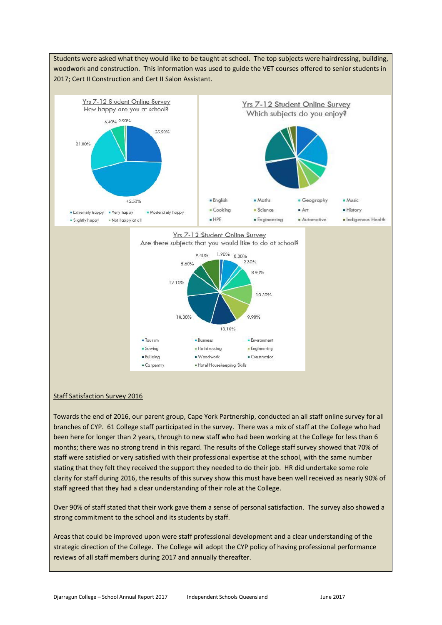



#### Staff Satisfaction Survey 2016

Towards the end of 2016, our parent group, Cape York Partnership, conducted an all staff online survey for all branches of CYP. 61 College staff participated in the survey. There was a mix of staff at the College who had been here for longer than 2 years, through to new staff who had been working at the College for less than 6 months; there was no strong trend in this regard. The results of the College staff survey showed that 70% of staff were satisfied or very satisfied with their professional expertise at the school, with the same number stating that they felt they received the support they needed to do their job. HR did undertake some role clarity for staff during 2016, the results of this survey show this must have been well received as nearly 90% of staff agreed that they had a clear understanding of their role at the College.

Over 90% of staff stated that their work gave them a sense of personal satisfaction. The survey also showed a strong commitment to the school and its students by staff.

Areas that could be improved upon were staff professional development and a clear understanding of the strategic direction of the College. The College will adopt the CYP policy of having professional performance reviews of all staff members during 2017 and annually thereafter.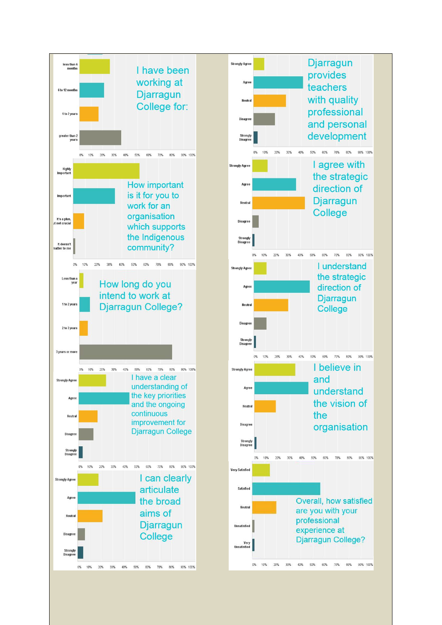

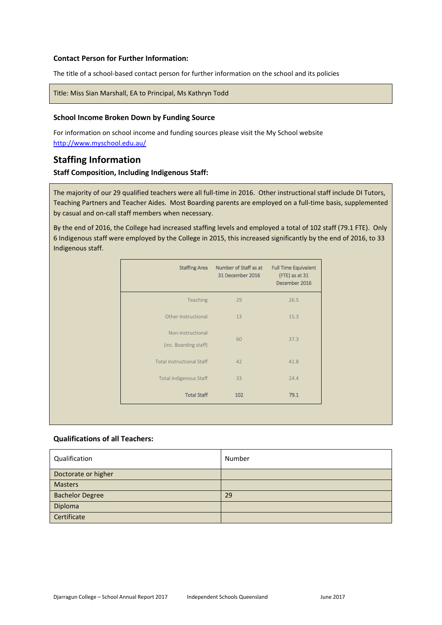#### **Contact Person for Further Information:**

The title of a school-based contact person for further information on the school and its policies

#### Title: Miss Sian Marshall, EA to Principal, Ms Kathryn Todd

#### **School Income Broken Down by Funding Source**

For information on school income and funding sources please visit the My School website <http://www.myschool.edu.au/>

# **Staffing Information**

#### **Staff Composition, Including Indigenous Staff:**

The majority of our 29 qualified teachers were all full-time in 2016. Other instructional staff include DI Tutors, Teaching Partners and Teacher Aides. Most Boarding parents are employed on a full-time basis, supplemented by casual and on-call staff members when necessary.

By the end of 2016, the College had increased staffing levels and employed a total of 102 staff (79.1 FTE). Only 6 Indigenous staff were employed by the College in 2015, this increased significantly by the end of 2016, to 33 Indigenous staff.

| Number of Staff as at<br>31 December 2016 | <b>Full Time Equivalent</b><br>(FTE) as at 31<br>December 2016 |
|-------------------------------------------|----------------------------------------------------------------|
| 29                                        | 26.5                                                           |
| 13                                        | 15.3                                                           |
| 60                                        | 37.3                                                           |
| 42                                        | 41.8                                                           |
| 33                                        | 24.4                                                           |
| 102                                       | 79.1                                                           |

#### **Qualifications of all Teachers:**

| Qualification          | Number |
|------------------------|--------|
| Doctorate or higher    |        |
| <b>Masters</b>         |        |
| <b>Bachelor Degree</b> | 29     |
| Diploma                |        |
| Certificate            |        |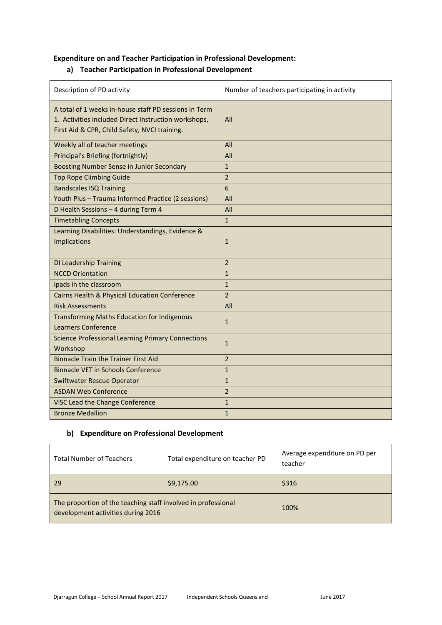# **Expenditure on and Teacher Participation in Professional Development:**

## **a) Teacher Participation in Professional Development**

| Description of PD activity                                                                                                                                     | Number of teachers participating in activity |
|----------------------------------------------------------------------------------------------------------------------------------------------------------------|----------------------------------------------|
| A total of 1 weeks in-house staff PD sessions in Term<br>1. Activities included Direct Instruction workshops,<br>First Aid & CPR, Child Safety, NVCI training. | All                                          |
| Weekly all of teacher meetings                                                                                                                                 | All                                          |
| Principal's Briefing (fortnightly)                                                                                                                             | All                                          |
| Boosting Number Sense in Junior Secondary                                                                                                                      | $\mathbf{1}$                                 |
| <b>Top Rope Climbing Guide</b>                                                                                                                                 | $\overline{2}$                               |
| <b>Bandscales ISQ Training</b>                                                                                                                                 | $6\phantom{1}6$                              |
| Youth Plus - Trauma Informed Practice (2 sessions)                                                                                                             | All                                          |
| D Health Sessions - 4 during Term 4                                                                                                                            | All                                          |
| <b>Timetabling Concepts</b>                                                                                                                                    | $\mathbf{1}$                                 |
| Learning Disabilities: Understandings, Evidence &<br>Implications                                                                                              | 1                                            |
| <b>DI Leadership Training</b>                                                                                                                                  | $\overline{2}$                               |
| <b>NCCD Orientation</b>                                                                                                                                        | $\mathbf{1}$                                 |
| ipads in the classroom                                                                                                                                         | $\mathbf{1}$                                 |
| Cairns Health & Physical Education Conference                                                                                                                  | $\overline{2}$                               |
| <b>Risk Assessments</b>                                                                                                                                        | All                                          |
| <b>Transforming Maths Education for Indigenous</b><br><b>Learners Conference</b>                                                                               | $\mathbf{1}$                                 |
| <b>Science Professional Learning Primary Connections</b><br>Workshop                                                                                           | $\mathbf{1}$                                 |
| <b>Binnacle Train the Trainer First Aid</b>                                                                                                                    | 2                                            |
| <b>Binnacle VET in Schools Conference</b>                                                                                                                      | $\mathbf{1}$                                 |
| <b>Swiftwater Rescue Operator</b>                                                                                                                              | $\mathbf{1}$                                 |
| <b>ASDAN Web Conference</b>                                                                                                                                    | $\overline{2}$                               |
| ViSC Lead the Change Conference                                                                                                                                | $\mathbf{1}$                                 |
| <b>Bronze Medallion</b>                                                                                                                                        | $\mathbf{1}$                                 |

## **b) Expenditure on Professional Development**

| <b>Total Number of Teachers</b>                                                                     | Total expenditure on teacher PD | Average expenditure on PD per<br>teacher |
|-----------------------------------------------------------------------------------------------------|---------------------------------|------------------------------------------|
| 29                                                                                                  | \$9,175.00                      | \$316                                    |
| The proportion of the teaching staff involved in professional<br>development activities during 2016 | 100%                            |                                          |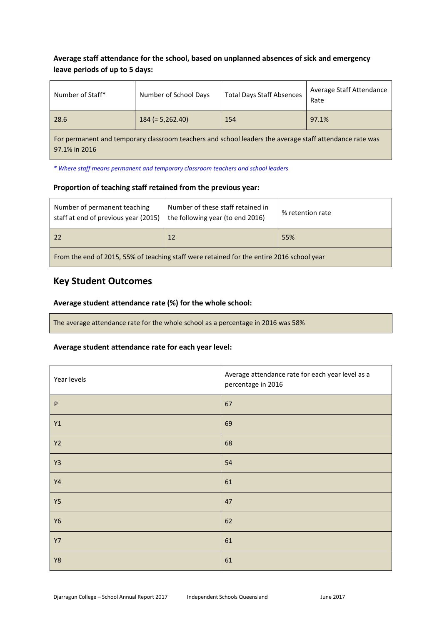# **Average staff attendance for the school, based on unplanned absences of sick and emergency leave periods of up to 5 days:**

| Number of Staff*                                                                                                         | Number of School Days | <b>Total Days Staff Absences</b> | Average Staff Attendance<br>Rate |  |  |
|--------------------------------------------------------------------------------------------------------------------------|-----------------------|----------------------------------|----------------------------------|--|--|
| 28.6                                                                                                                     | $184 (= 5,262.40)$    | 154                              | 97.1%                            |  |  |
| For permanent and temporary classroom teachers and school leaders the average staff attendance rate was<br>97.1% in 2016 |                       |                                  |                                  |  |  |

*\* Where staff means permanent and temporary classroom teachers and school leaders*

### **Proportion of teaching staff retained from the previous year:**

| Number of permanent teaching<br>Number of these staff retained in<br>the following year (to end 2016)<br>staff at end of previous year (2015) |    | % retention rate |  |  |
|-----------------------------------------------------------------------------------------------------------------------------------------------|----|------------------|--|--|
| 22                                                                                                                                            | 12 | 55%              |  |  |
| From the end of 2015, 55% of teaching staff were retained for the entire 2016 school year                                                     |    |                  |  |  |

# **Key Student Outcomes**

## **Average student attendance rate (%) for the whole school:**

The average attendance rate for the whole school as a percentage in 2016 was 58%

# **Average student attendance rate for each year level:**

| Year levels    | Average attendance rate for each year level as a<br>percentage in 2016 |
|----------------|------------------------------------------------------------------------|
| $\sf P$        | 67                                                                     |
| $\verb Y1 $    | 69                                                                     |
| Y2             | 68                                                                     |
| Y3             | 54                                                                     |
| Y4             | 61                                                                     |
| Y <sub>5</sub> | 47                                                                     |
| <b>Y6</b>      | 62                                                                     |
| Y7             | 61                                                                     |
| <b>Y8</b>      | 61                                                                     |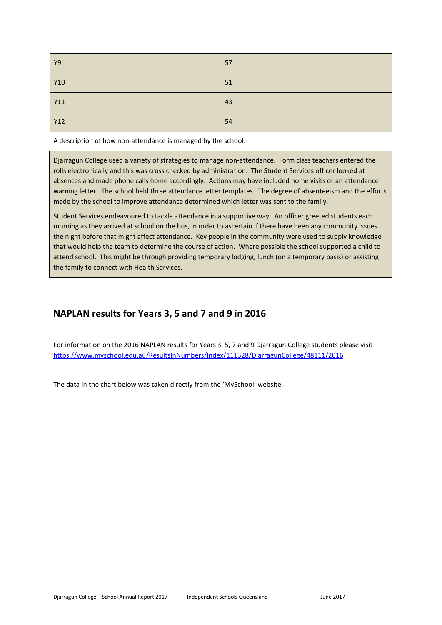| <b>Y9</b>  | 57 |
|------------|----|
| Y10        | 51 |
| <b>Y11</b> | 43 |
| <b>Y12</b> | 54 |

A description of how non-attendance is managed by the school:

Djarragun College used a variety of strategies to manage non-attendance. Form class teachers entered the rolls electronically and this was cross checked by administration. The Student Services officer looked at absences and made phone calls home accordingly. Actions may have included home visits or an attendance warning letter. The school held three attendance letter templates. The degree of absenteeism and the efforts made by the school to improve attendance determined which letter was sent to the family.

Student Services endeavoured to tackle attendance in a supportive way. An officer greeted students each morning as they arrived at school on the bus, in order to ascertain if there have been any community issues the night before that might affect attendance. Key people in the community were used to supply knowledge that would help the team to determine the course of action. Where possible the school supported a child to attend school. This might be through providing temporary lodging, lunch (on a temporary basis) or assisting the family to connect with Health Services.

# **NAPLAN results for Years 3, 5 and 7 and 9 in 2016**

For information on the 2016 NAPLAN results for Years 3, 5, 7 and 9 Djarragun College students please visit <https://www.myschool.edu.au/ResultsInNumbers/Index/111328/DjarragunCollege/48111/2016>

The data in the chart below was taken directly from the 'MySchool' website.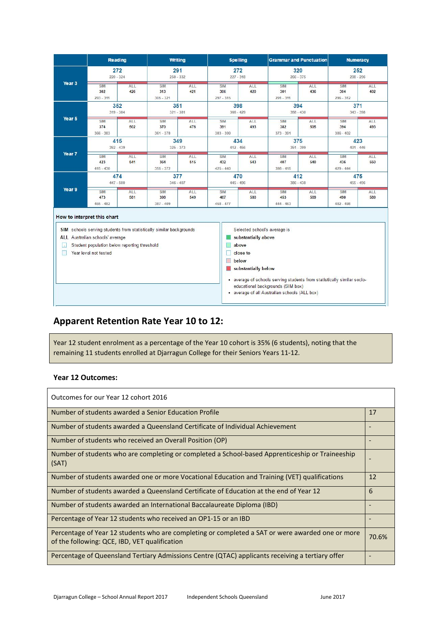|                   | <b>Reading</b>                                                                                                                          |                    | Writing                                                             |                    | <b>Spelling</b>                  |                                                                          | <b>Grammar and Punctuation</b>                                                                                                                                                                |                    | <b>Numeracy</b>                  |                    |                    |  |  |  |  |  |  |  |  |  |  |  |  |                    |                    |  |
|-------------------|-----------------------------------------------------------------------------------------------------------------------------------------|--------------------|---------------------------------------------------------------------|--------------------|----------------------------------|--------------------------------------------------------------------------|-----------------------------------------------------------------------------------------------------------------------------------------------------------------------------------------------|--------------------|----------------------------------|--------------------|--------------------|--|--|--|--|--|--|--|--|--|--|--|--|--------------------|--------------------|--|
|                   | 272<br>$220 - 324$                                                                                                                      |                    | 291<br>$250 - 332$                                                  |                    | 272<br>$227 - 318$               |                                                                          | 320<br>$266 - 375$                                                                                                                                                                            |                    | 252<br>$208 - 296$               |                    |                    |  |  |  |  |  |  |  |  |  |  |  |  |                    |                    |  |
| Year <sub>3</sub> | <b>SIM</b><br>302<br>$293 - 311$                                                                                                        | <b>ALL</b><br>426  | <b>SIM</b><br>313<br>$305 - 321$                                    | <b>ALL</b><br>421  | <b>SIM</b><br>306<br>$297 - 315$ | ALL<br>420                                                               | <b>SIM</b><br>301<br>$291 - 311$                                                                                                                                                              | ALL<br>436         | <b>SIM</b><br>304<br>$296 - 312$ | ALL<br>402         |                    |  |  |  |  |  |  |  |  |  |  |  |  |                    |                    |  |
|                   |                                                                                                                                         | 352<br>$319 - 384$ |                                                                     |                    |                                  | 351<br>$321 - 381$                                                       |                                                                                                                                                                                               | 398<br>$366 - 429$ |                                  |                    |                    |  |  |  |  |  |  |  |  |  |  |  |  | 394<br>$358 - 430$ | 371<br>$343 - 398$ |  |
| Year <sub>5</sub> | <b>SIM</b><br>374<br>$366 - 383$                                                                                                        | ALL<br>502         | <b>SIM</b><br>370<br>$361 - 378$                                    | ALL<br>476         | <b>SIM</b><br>391<br>$383 - 399$ | ALL<br>493                                                               | <b>SIM</b><br>382<br>$373 - 391$                                                                                                                                                              | ALL<br>505         | <b>SIM</b><br>394<br>$386 - 402$ | ALL<br>493         |                    |  |  |  |  |  |  |  |  |  |  |  |  |                    |                    |  |
|                   |                                                                                                                                         | 415<br>$392 - 439$ |                                                                     | 349<br>$325 - 373$ |                                  | 434<br>$412 - 456$                                                       |                                                                                                                                                                                               |                    |                                  | 375<br>$351 - 399$ | 423<br>$401 - 446$ |  |  |  |  |  |  |  |  |  |  |  |  |                    |                    |  |
| Year 7            | <b>SIM</b><br>423<br>$415 - 430$                                                                                                        | ALL<br>541         | <b>SIM</b><br>364<br>$355 - 372$                                    | ALL<br>515         | SIM<br>432<br>$425 - 440$        | ALL<br>543                                                               | SIM<br>407<br>$398 - 415$                                                                                                                                                                     | ALL<br>540         | <b>SIM</b><br>436<br>$429 - 444$ | ALL<br>550         |                    |  |  |  |  |  |  |  |  |  |  |  |  |                    |                    |  |
|                   | 474<br>$447 - 500$                                                                                                                      |                    | 377<br>$346 - 407$                                                  |                    | 470<br>$445 - 496$               |                                                                          | 412<br>$386 - 438$                                                                                                                                                                            |                    | 475<br>$455 - 496$               |                    |                    |  |  |  |  |  |  |  |  |  |  |  |  |                    |                    |  |
| Year 9            | <b>SIM</b><br>473<br>$465 - 482$                                                                                                        | <b>ALL</b><br>581  | <b>SIM</b><br>398<br>$387 - 409$                                    | <b>ALL</b><br>549  | SIM<br>467<br>$458 - 477$        | ALL<br>580                                                               | <b>SIM</b><br>453<br>$444 - 463$                                                                                                                                                              | ALL<br>569         | <b>SIM</b><br>490<br>$482 - 498$ | ALL<br>589         |                    |  |  |  |  |  |  |  |  |  |  |  |  |                    |                    |  |
| u                 | How to interpret this chart<br>ALL Australian schools' average<br>Student population below reporting threshold<br>Year level not tested |                    | SIM schools serving students from statistically similar backgrounds |                    |                                  | substantially above<br>above<br>close to<br>below<br>substantially below | Selected school's average is<br>• average of schools serving students from statistically similar socio-<br>educational backgrounds (SIM box)<br>• average of all Australian schools (ALL box) |                    |                                  |                    |                    |  |  |  |  |  |  |  |  |  |  |  |  |                    |                    |  |

# **Apparent Retention Rate Year 10 to 12:**

Year 12 student enrolment as a percentage of the Year 10 cohort is 35% (6 students), noting that the remaining 11 students enrolled at Djarragun College for their Seniors Years 11-12.

# **Year 12 Outcomes:**

| Outcomes for our Year 12 cohort 2016                                                                                                              |       |
|---------------------------------------------------------------------------------------------------------------------------------------------------|-------|
| Number of students awarded a Senior Education Profile                                                                                             | 17    |
| Number of students awarded a Queensland Certificate of Individual Achievement                                                                     |       |
| Number of students who received an Overall Position (OP)                                                                                          |       |
| Number of students who are completing or completed a School-based Apprenticeship or Traineeship<br>(SAT)                                          |       |
| Number of students awarded one or more Vocational Education and Training (VET) qualifications                                                     | 12    |
| Number of students awarded a Queensland Certificate of Education at the end of Year 12                                                            | 6     |
| Number of students awarded an International Baccalaureate Diploma (IBD)                                                                           |       |
| Percentage of Year 12 students who received an OP1-15 or an IBD                                                                                   |       |
| Percentage of Year 12 students who are completing or completed a SAT or were awarded one or more<br>of the following: QCE, IBD, VET qualification | 70.6% |
| Percentage of Queensland Tertiary Admissions Centre (QTAC) applicants receiving a tertiary offer                                                  |       |